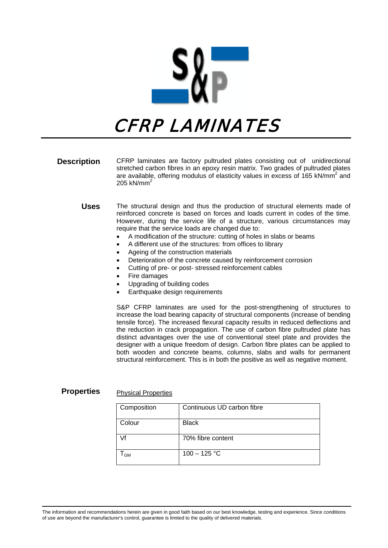

# CFRP LAMINATES

- **Description** CFRP laminates are factory pultruded plates consisting out of unidirectional stretched carbon fibres in an epoxy resin matrix. Two grades of pultruded plates are available, offering modulus of elasticity values in excess of 165 kN/mm<sup>2</sup> and 205 kN/mm<sup>2</sup>
	- **Uses** The structural design and thus the production of structural elements made of reinforced concrete is based on forces and loads current in codes of the time. However, during the service life of a structure, various circumstances may require that the service loads are changed due to:
		- A modification of the structure: cutting of holes in slabs or beams
		- A different use of the structures: from offices to library
		- Ageing of the construction materials
		- Deterioration of the concrete caused by reinforcement corrosion
		- Cutting of pre- or post- stressed reinforcement cables
		- **Fire damages**
		- Upgrading of building codes
		- Earthquake design requirements

S&P CFRP laminates are used for the post-strengthening of structures to increase the load bearing capacity of structural components (increase of bending tensile force). The increased flexural capacity results in reduced deflections and the reduction in crack propagation. The use of carbon fibre pultruded plate has distinct advantages over the use of conventional steel plate and provides the designer with a unique freedom of design. Carbon fibre plates can be applied to both wooden and concrete beams, columns, slabs and walls for permanent structural reinforcement. This is in both the positive as well as negative moment.

## **Properties** Physical Properties

| Composition | Continuous UD carbon fibre |
|-------------|----------------------------|
| Colour      | <b>Black</b>               |
| Vf          | 70% fibre content          |
| <b>GM</b>   | $100 - 125 °C$             |

The information and recommendations herein are given in good faith based on our best knowledge, testing and experience. Since conditions of use are beyond the manufacturer's control, guarantee is limited to the quality of delivered materials.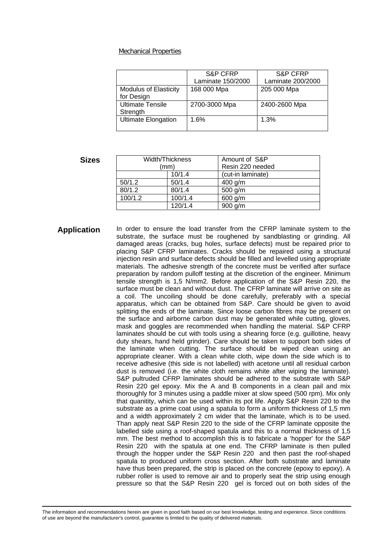#### Mechanical Properties

|                                            | S&P CFRP          | S&P CFRP          |
|--------------------------------------------|-------------------|-------------------|
|                                            | Laminate 150/2000 | Laminate 200/2000 |
| <b>Modulus of Elasticity</b><br>for Design | 168 000 Mpa       | 205 000 Mpa       |
| <b>Ultimate Tensile</b><br>Strength        | 2700-3000 Mpa     | 2400-2600 Mpa     |
| <b>Ultimate Elongation</b>                 | 1.6%              | 1.3%              |

### **Sizes**

| Width/Thickness |         | Amount of S&P     |  |
|-----------------|---------|-------------------|--|
| (mm)            |         | Resin 220 needed  |  |
|                 | 10/1.4  | (cut-in laminate) |  |
| 50/1.2          | 50/1.4  | 400 g/m           |  |
| 80/1.2          | 80/1.4  | 500 g/m           |  |
| 100/1.2         | 100/1.4 | 600 g/m           |  |
|                 | 120/1.4 | $900$ g/m         |  |

**Application** In order to ensure the load transfer from the CFRP laminate system to the substrate, the surface must be roughened by sandblasting or grinding. All damaged areas (cracks, bug holes, surface defects) must be repaired prior to placing S&P CFRP laminates. Cracks should be repaired using a structural injection resin and surface defects should be filled and levelled using appropriate materials. The adhesive strength of the concrete must be verified after surface preparation by random pulloff testing at the discretion of the engineer. Minimum tensile strength is 1,5 N/mm2. Before application of the S&P Resin 220, the surface must be clean and without dust. The CFRP laminate will arrive on site as a coil. The uncoiling should be done carefully, preferably with a special apparatus, which can be obtained from S&P. Care should be given to avoid splitting the ends of the laminate. Since loose carbon fibres may be present on the surface and airborne carbon dust may be generated while cutting, gloves, mask and goggles are recommended when handling the material. S&P CFRP laminates should be cut with tools using a shearing force (e.g. guillotine, heavy duty shears, hand held grinder). Care should be taken to support both sides of the laminate when cutting. The surface should be wiped clean using an appropriate cleaner. With a clean white cloth, wipe down the side which is to receive adhesive (this side is not labelled) with acetone until all residual carbon dust is removed (i.e. the white cloth remains white after wiping the laminate). S&P pultruded CFRP laminates should be adhered to the substrate with S&P Resin 220 gel epoxy. Mix the A and B components in a clean pail and mix thoroughly for 3 minutes using a paddle mixer at slow speed (500 rpm). Mix only that quanitity, which can be used within its pot life. Apply S&P Resin 220 to the substrate as a prime coat using a spatula to form a uniform thickness of 1,5 mm and a width approximately 2 cm wider that the laminate, which is to be used. Than apply neat S&P Resin 220 to the side of the CFRP laminate opposite the labelled side using a roof-shaped spatula and this to a normal thickness of 1,5 mm. The best method to accomplish this is to fabricate a 'hopper' for the S&P Resin 220 with the spatula at one end. The CFRP laminate is then pulled through the hopper under the S&P Resin 220 and then past the roof-shaped spatula to produced uniform cross section. After both substrate and laminate have thus been prepared, the strip is placed on the concrete (epoxy to epoxy). A rubber roller is used to remove air and to properly seat the strip using enough pressure so that the S&P Resin 220 gel is forced out on both sides of the